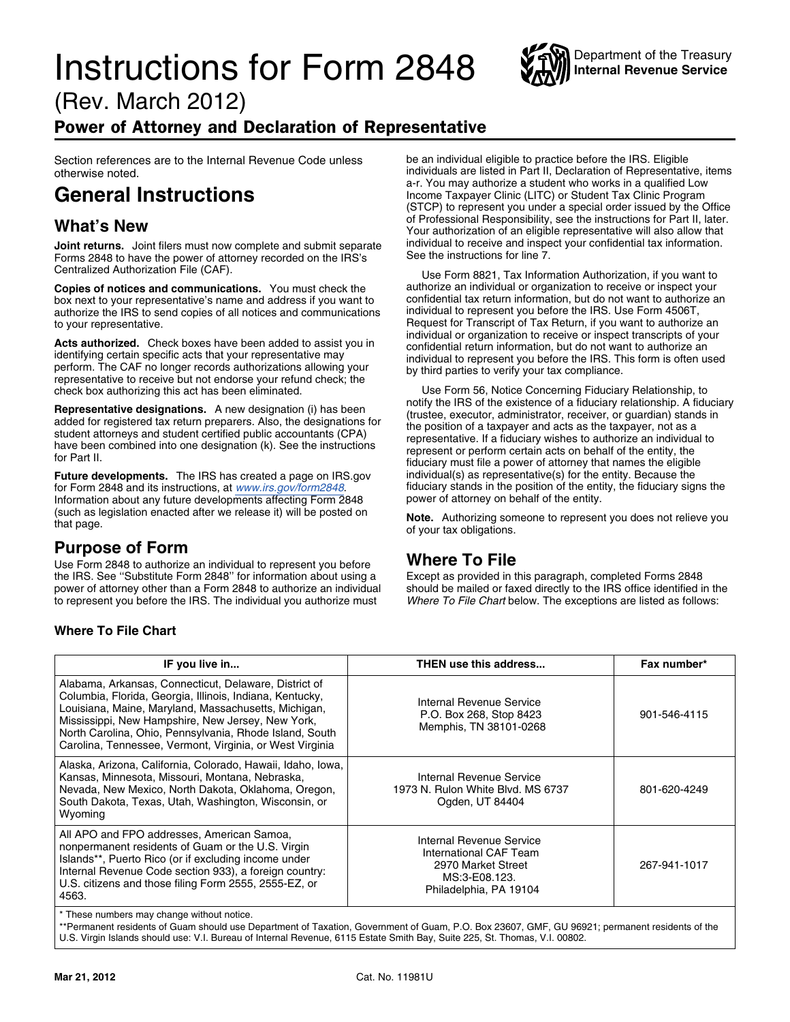# **Instructions for Form 2848** WAY Internal Revenue Service



(Rev. March 2012)

### Power of Attorney and Declaration of Representative

Section references are to the Internal Revenue Code unless be an individual eligible to practice before the IRS. Eligible

**Joint returns.** Joint filers must now complete and submit separate individual to receive and inspected in the power of attorney recorded on the IRS's See the instructions for line 7. Forms 2848 to have the power of attorney recorded on the IRS's

**Copies of notices and communications.** You must check the authorize an individual or organization to receive or inspect your<br>box next to your representative's name and address if you want to confidential tax return inform box next to your representative's name and address if you want to confidential tax return information, but do not want to authorize the IRS use Form 4506T, authorize the IRS use Form 4506T, authorize the IRS to send copies of all notices and communications to your representative.

**Acts authorized.** Check boxes have been added to assist you in confidential return information, but do not want to authorize an identifying certain specific acts that your representative may individual to represent you be

for Form 2848 and its instructions, at *[www.irs.gov/form2848](http://www.irs.gov/form2848)*. fiduciary stands in the position of the entity, the finduciary stands in the finduciary stands in the finduciary shall of the entity, the finduciary signs the Information about any future developments affecting Form 2848 (such as legislation enacted after we release it) will be posted on

### **Purpose of Form**

Use Form 2848 to authorize an individual to represent you before **Where To File**<br>the IRS. See "Substitute Form 2848" for information about using a<br>the IRS. See "Substitute Form 2848" for information about using a<br>Except as the IRS. See "Substitute Form 2848" for information about using a Except as provided in this paragraph, completed Forms 2848<br>power of attorney other than a Form 2848 to authorize an individual should be mailed or faxed dir power of attorney other than a Form 2848 to authorize an individual should be mailed or faxed directly to the IRS office identified in the to represent you before the IRS. The individual you authorize must Where To File Ch to represent you before the IRS. The individual you authorize must

otherwise noted.<br>
individuals are listed in Part II, Declaration of Representative, items<br>
a-r. You may authorize a student who works in a qualified Low **General Instructions Income Taxpayer Clinic (LITC) or Student Tax Clinic Program** (STCP) to represent you under a special order issued by the Office of Professional Responsibility, see the instructions for Part II, later. of Professional Responsibility, see the instructions for Part II, later.<br>Your authorization of an eligible representative will also allow that<br>Individual to receive and inspect your confidential tax information.

Centralized Authorization File (CAF).<br>Copies of notices and communications. You must check the authorize an individual or organization to receive or inspect your Request for Transcript of Tax Return, if you want to authorize an individual or organization to receive or inspect transcripts of your

Use Form 56, Notice Concerning Fiduciary Relationship, to notify the IRS of the existence of a fiduciary relationship. A fiduciary **Representative designations.** A new designation (i) has been added for registered tax return preparers. Also, the designations for and and tudent attorneys and student certified public accountants (CPA) stands in the posi **Future developments.** The IRS has created a page on IRS gov individual(s) as representative(s) for the entity. Because the figure the state of the entity and its instructions, at *www.irs.gov/form2848.* figurers figurery

(such as legislation enacted after we release it) will be posted on **Note.** Authorizing someone to represent you does not relieve you that page.

### **Where To File Chart**

| IF you live in                                                                                                                                                                                                                                                                                                                                        | THEN use this address                                                                                               | Fax number*  |
|-------------------------------------------------------------------------------------------------------------------------------------------------------------------------------------------------------------------------------------------------------------------------------------------------------------------------------------------------------|---------------------------------------------------------------------------------------------------------------------|--------------|
| Alabama, Arkansas, Connecticut, Delaware, District of<br>Columbia, Florida, Georgia, Illinois, Indiana, Kentucky,<br>Louisiana, Maine, Maryland, Massachusetts, Michigan,<br>Mississippi, New Hampshire, New Jersey, New York,<br>North Carolina, Ohio, Pennsylvania, Rhode Island, South<br>Carolina, Tennessee, Vermont, Virginia, or West Virginia | Internal Revenue Service<br>P.O. Box 268, Stop 8423<br>Memphis, TN 38101-0268                                       | 901-546-4115 |
| Alaska, Arizona, California, Colorado, Hawaii, Idaho, Iowa,<br>Kansas, Minnesota, Missouri, Montana, Nebraska,<br>Nevada, New Mexico, North Dakota, Oklahoma, Oregon,<br>South Dakota, Texas, Utah, Washington, Wisconsin, or<br>Wyoming                                                                                                              | Internal Revenue Service<br>1973 N. Rulon White Blvd. MS 6737<br>Ogden, UT 84404                                    | 801-620-4249 |
| All APO and FPO addresses, American Samoa,<br>nonpermanent residents of Guam or the U.S. Virgin<br>Islands**, Puerto Rico (or if excluding income under<br>Internal Revenue Code section 933), a foreign country:<br>U.S. citizens and those filing Form 2555, 2555-EZ, or<br>4563.                                                                   | Internal Revenue Service<br>International CAF Team<br>2970 Market Street<br>MS:3-E08.123.<br>Philadelphia, PA 19104 | 267-941-1017 |
| * These numbers may change without notice                                                                                                                                                                                                                                                                                                             |                                                                                                                     |              |

\* These numbers may change without notice.

\*\*Permanent residents of Guam should use Department of Taxation, Government of Guam, P.O. Box 23607, GMF, GU 96921; permanent residents of the U.S. Virgin Islands should use: V.I. Bureau of Internal Revenue, 6115 Estate Smith Bay, Suite 225, St. Thomas, V.I. 00802.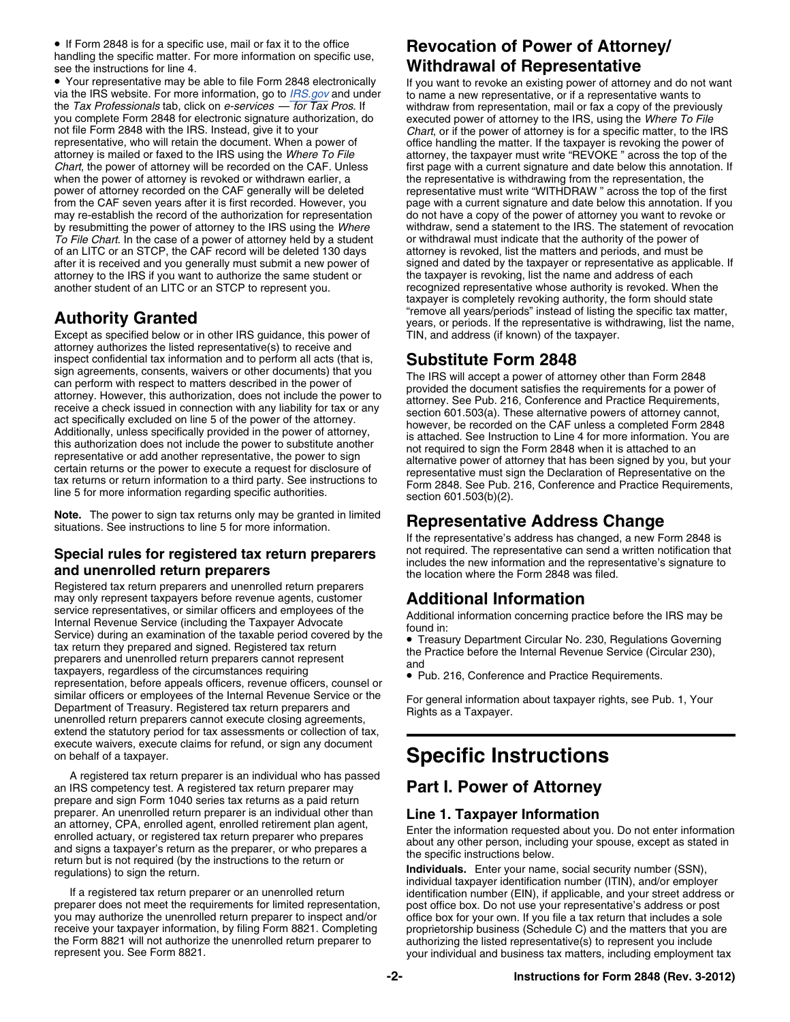• If Form 2848 is for a specific use, mail or fax it to the office If Form 2848 is for a specific use, mail or fax it to the office **Revocation of Power of Attorney/** handling the specific matter. For more information on specific use, see the instructions for line 4. **Withdrawal of Representative**

• Your representative may be able to file Form 2848 electronically via the IRS website. For more information, go to *[IRS.gov](www.irs.gov)* and under the Tax Professionals tab, click on e-services — for Tax Pros. If you complete Form 2848 for electronic signature authorization, do not file Form 2848 with the IRS. Instead, give it to your not file Form 2848 with the IRS. Instead, give it to your *Chart*, or if the power of attorney is for a specific matter, to the IRS representative, who will retain the document. When a power of office handling the matter. representative, who will retain the document. When a power of office handling the matter. If the taxpayer is revoking the power of attorney is mailed or faxed to the IRS using the Where To File attorney, the taxpayer must attorney is mailed or faxed to the IRS using the Where To File attorney, the taxpayer must write "REVOKE" across the top of the<br>Chart, the power of attorney will be recorded on the CAF. Unless first page with a current sig when the power of attorney is revoked or withdrawn earlier, a the representative is withdrawing from the representation, the power of attorney recorded on the CAF generally will be deleted representative must write "WITHDR *To File Chart*. In the case of a power of attorney held by a student of an LITC or an STCP, the CAF record will be deleted 130 days attorney is revoked, list the matters and periods, and must be attorney to the IRS if you want to authorize the same student or the taxpayer is revoking, list the name and address of each another student of an LITC or an STCP to represent you. another student of an LITC or an STCP to represent you.

Except as specified below or in other IRS guidance, this power of attorney authorizes the listed representative(s) to receive and inspect confidential tax information and to perform all acts (that is, **Substitute Form 2848**<br>sign agreements, consents, waivers or other documents) that you

**Note.** The power to sign tax returns only may be granted in limited situations. See instructions to line 5 for more information. **Representative Address Change**

Registered tax return preparers and unenrolled return preparers may only represent taxpayers before revenue agents, customer **Additional Information**<br>service representatives, or similar officers and employees of the **Additional information concerning pra** Service representatives, or similar officers and employees of the<br>
Internal Revenue Service (including the Taxpayer Advocate<br>
Service) during an examination of the taxable period covered by the<br>
tax return they prepared an divided by the Practice before the Internal Revenue Service (Circular 230),<br>preparers and unenrolled return preparers cannot represent<br>taxpayers, regardless of the circumstances requiring<br> $\bullet$  Pub. 216, Conference and Prac representation, before appeals officers, revenue officers, counsel or similar officers or employees of the Internal Revenue Service or the similar officers or employees of the internal Hevenue Service or the<br>Department of Treasury. Registered tax return preparers and<br>unenrolled return preparers cannot execute closing agreements,<br>unenrolled return preparers ca extend the statutory period for tax assessments or collection of tax, execute waivers, execute claims for refund, or sign any document on behalf of a taxpayer. **Specific Instructions**

A registered tax return preparer is an individual who has passed an IRS competency test. A registered tax return preparer may **Part I. Power of Attorney** prepare and sign Form 1040 series tax returns as a paid return preparer. An unenrolled return preparer is an individual other than<br>an attorney, CPA, enrolled agent, enrolled retirement plan agent,<br>enrolled actuary, or registered tax return preparer who prepares<br>and signs a taxpayer's

preparer does not meet the requirements for limited representation, post office box. Do not use your representative's address or post you may authorize the unenrolled return preparer to inspect and/or office box for your o receive your taxpayer information, by filing Form 8821. Completing the Form 8821 will not authorize the unenrolled return preparer to the Form 8821 will not authorize the unenrolled return preparer to authorizing the listed representative(s) to represent you include<br>vour individual and business tax matters, including employment

If you want to revoke an existing power of attorney and do not want to name a new representative, or if a representative wants to withdraw from representation, mail or fax a copy of the previously executed power of attorney to the IRS, using the Where To File *Chart*, the power of attorney will be recorded on the CAF. Unless first page with a current signature and date below this annotation. If when the power of attorney is revoked or withdrawn earlier, a the representative is representative must write "WITHDRAW" across the top of the first from the CAF seven years after it is first recorded. However, you page with a current signature and date below this annotation. If you do not have a copy of the power of attorney you want to revoke or by resubmitting the power of attorney to the IRS using the *Where* withdraw, send a statement to the IRS. The statement of revocation To File Chart. In the case of a power of attorney held by a student or withdrawal must i after it is received and you generally must submit a new power of signed and dated by the taxpayer or representative as applicable. If attorney to the IRS if you want to authorize the same student or the taxpayer is revoki taxpayer is completely revoking authority, the form should state<br>"remove all years/periods" instead of listing the specific tax matter, **Authority Granted**<br>
Except as specified below or in other IRS guidance, this power of TIN, and address (if known) of the taxpayer.

sign agreements, consents, waivers or other documents) that you<br>can perform with respect to matters described in the power of<br>attorney. However, this authorization, does not include the power to<br>receive a check issued in c

If the representative's address has changed, a new Form 2848 is **Special rules for registered tax return preparers** not required. The representative can send a written notification that<br>
and unenrolled return preparers the propose the location where the Form 2848 was filed.

If a registered tax return preparer or an unenrolled return identification number (EIN), if applicable, and your street address or office box for your own. If you file a tax return that includes a sole proprietorship business (Schedule C) and the matters that you are your individual and business tax matters, including employment tax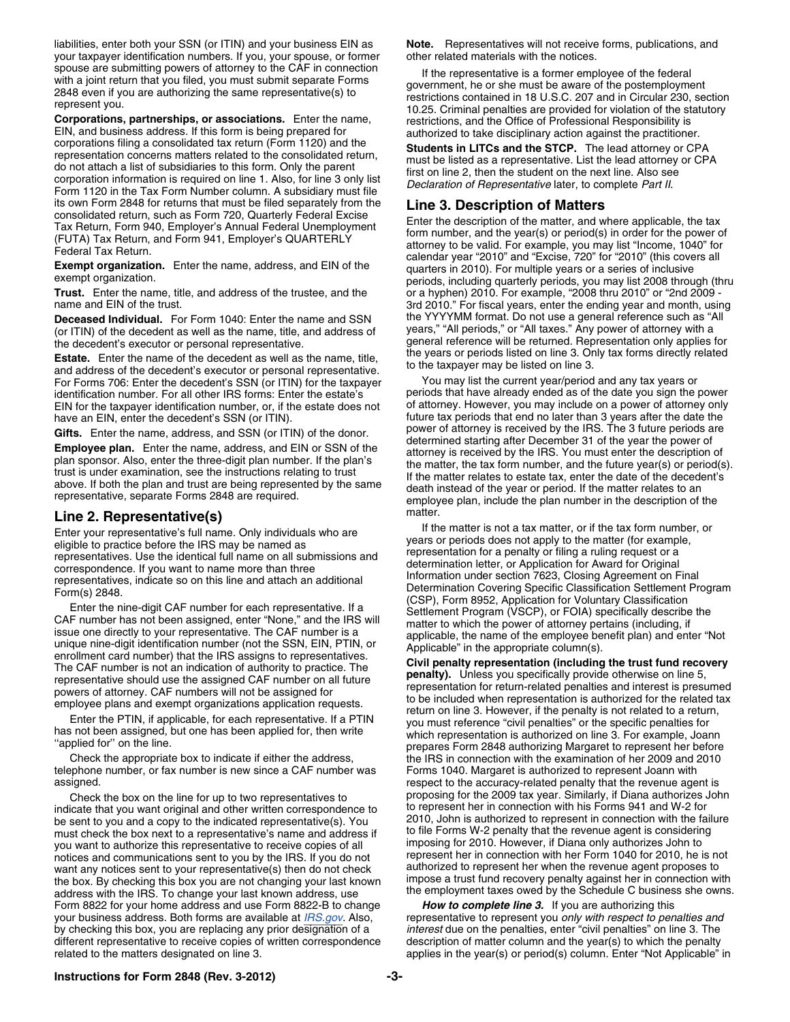liabilities, enter both your SSN (or ITIN) and your business EIN as **Note.** Representatives will not receive forms, publications, and your taxpayer identification numbers. If you, your spouse, or former other related materials with the notices.

spouse are submitting powers of attorney to the CAF in connection<br>with a joint return that you filed, you must submit separate Forms<br>2848 even if you are authorizing the same representative(s) to<br>represent you.<br>**Corporatio** 

Trust. Enter the name, title, and address of the trustee, and the or a hyphen) 2010. For example, "2008 thru 2010" or "2nd 2009

**Deceased Individual.** For Form 1040: Enter the name and SSN (or ITIN) of the decedent as well as the name, title, and address of years," "All periods," or "All taxes." Any power of attorney with a<br>the decedent's executor or personal representative.<br>

the decedent's executor or personal representative.<br> **Estate.** Enter the name of the decedent as well as the name, title,<br>
and address of the decedent's executor or personal representative.<br>
For Forms 706: Enter the decede For Forms 706: Enter the decedent's SSN (or ITIN) for the taxpayer identification number. For all other IRS forms: Enter the estate's periods that have already ended as of the date you sign the power<br>EIN for the taxpayer identification number, or, if the estate does not of attorney. Howev EIN for the taxpayer identification number, or, if the estate does not have an EIN, enter the decedent's SSN (or ITIN).

telephone number, or fax number is new since a CAF number was Forms 1040. Margaret is authorized to represent Joann with assigned. The set of the accuracy-related penalty that the revenue agent is

indicate that you want original and other written correspondence to to represent her in connection with his Forms 941 and W-2 for<br>be sent to you and a copy to the indicated representative(s), You 2010, John is authorized t be sent to you and a copy to the indicated representative(s). You <sup>2010,</sup> John is authorized to represent in connection with the fail<br>must check the box next to a representative's name and address if to file Forms W-2 pena must check the box next to a representative's name and address if the Forms W-2 penalty that the revenue agent is considering vou want to authorizes John to receive copies of all imposing for 2010. However, if Diana only a you want to authorize this representative to receive copies of all imposing for 2010. However, if Diana only authorizes John to<br>notices and communications sent to you by the IRS If you do not represent her in connection wi notices and communications sent to you by the IRS. If you do not represent her in connection with her Form 1040 for 2010, he is not check authorized to represent her when the revenue agent proposes to vant any notices sent want any notices sent to your representative(s) then do not check authorized to represent her when the revenue agent proposes to<br>the box. By checking this box you are not changing your last known impose a trust fund recove the box. By checking this box you are not changing your last known impose a trust fund recovery penalty against her in connection with<br>address with the IBS. To change your last known address use the employment taxes owed b address with the IRS. To change your last known address, use Form 8822 for your home address and use Form 8822-B to change *How to complete line 3.* If you are authorizing this your business address. Both forms are available at *[IRS.gov](www.irs.gov)*. Also, representative to represent you *only with respect to penalties and*<br>by checking this box, you are replacing any prior designation of a *interest* due on by checking this box, you are replacing any prior designation of a different representative to receive copies of written correspondence description of matter column and the year(s) to which the penalty related to the matters designated on line 3. applies in the year(s) or period(s) column. Enter "Not Applicable" in

its own Form 2848 for returns that must be filed separately from the<br>
consolidated return, such as Form 720, Quarterly Federal Excise<br>
Tax Return, Form 940, Employer's Annual Federal Unemployment<br>
(FUTA) Tax Return, and Fo name and EIN of the trust.<br>3rd 2010." For fiscal years, enter the ending year and month, using<br>3rd 2010." For fiscal years, enter the ending year and provided the YYYYMM format. Do not use a general reference such as "All

future tax periods that end no later than 3 years after the date the power of attorney is received by the IRS. The 3 future periods are Gifts. Enter the name, address, and SSN (or ITIN) of the donor.<br> **Employee plan.** Enter the name, address, and EIN or SSN of the<br>
plan sponsor. Also, enter the three-digit plan number. If the plan's<br>
trust is under examina

**Line 2. Representative (s)**<br>
Enter your representative significant in the matter is not a tax matter, or if the tax form number, or<br>
Enlighte to practice before the IRS may be named as<br>
representative significance and sub

Check the appropriate box to indicate if either the address, the IRS in connection with the examination of her 2009 and 2010 Check the box on the line for up to two representatives to proposing for the 2009 tax year. Similarly, if Diana authorizes John<br>icate that you want original and other written correspondence to be represent her in connectio

### **Instructions for Form 2848 (Rev. 3-2012) -3-**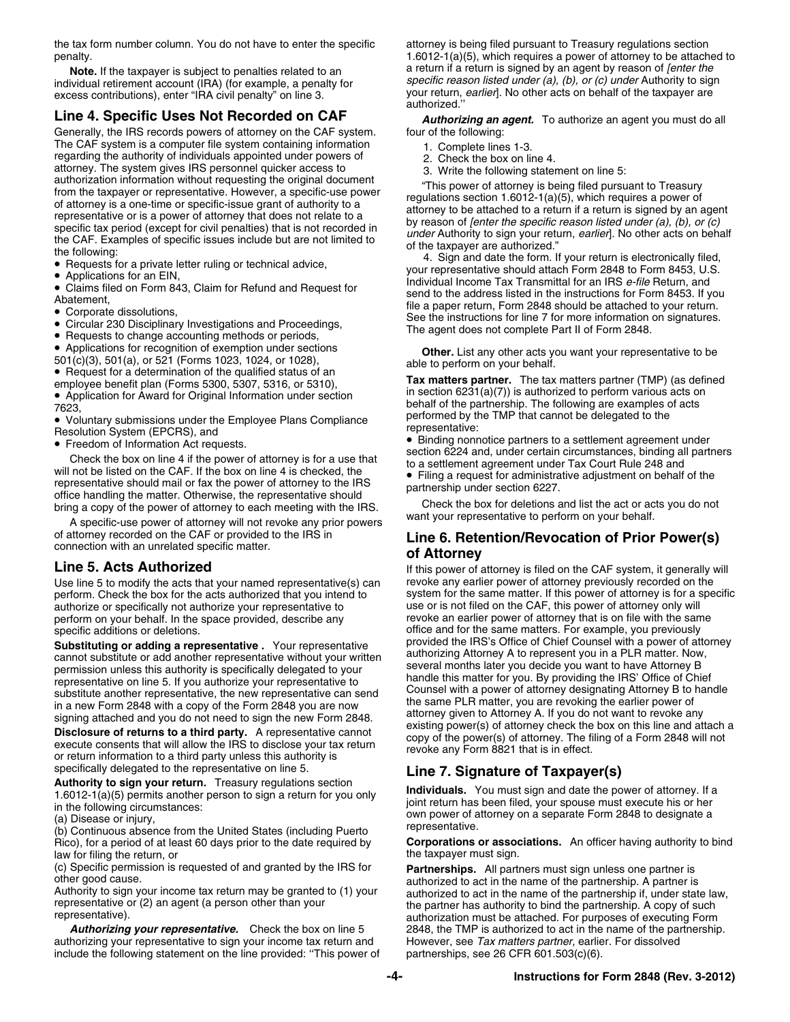the tax form number column. You do not have to enter the specific attorney is being filed pursuant to Treasury regulations section

Generally, the IRS records powers of attorney on the CAF system. The CAF system is a computer file system containing information regarding the authority of individuals appointed under powers of 2. Check the box on line 4. attorney. The system gives IRS personnel quicker access to 3. Wri attorney. The system gives IRS personnel quicker access to<br>
authorization information without requesting the original document<br>
from the taxpayer or representative. However, a specific-use power<br>
of attorney is a one-time

- 
- 

- 
- Circular 230 Disciplinary Investigations and Proceedings,
- Requests to change accounting methods or periods,

• Applications for recognition of exemption under sections for Formulaunder 501(a), or 521 (Forms 1023, 1024, or 1028),<br>● Request for a determination of the qualified status of an

• Voluntary submissions under the Employee Plans Compliance Preflormed by the Resolution System (EPCRS), and • Resolution System (EPCRS), and • Resolution System (EPCRS), and • Resolution System (EPCRS), and • Resolution

Check the box on line 4 if the power of attorney is for a use that<br>will not be listed on the CAF. If the box on line 4 is checked, the<br>representative should mail or fax the power of attorney to the IRS<br>representative adjus Filing a request for administrative adjustment on behalf of the<br>
representative should mail or fax the power of attorney to the IRS<br>
office handling the matter. Otherwise, the representative should<br>
bring a copy of the pow

perform. Check the box for the acts authorized that you intend to system for the same matter. If this power of attorney is for a s<br>authorize or specifically not authorize your representative to use or is not filed on the C authorize or specifically not authorize your representative to perform on your behalf. In the space provided, describe any revoke an earlier power of attorney that is on file with the same

law for filing the return, or

authorizing your representative to sign your income tax return and However, see Tax matters partner, earlier. For dissolved<br>include the following statement on the line provided: "This power of partnerships, see 26 CFR 601. include the following statement on the line provided: "This power of

penalty.<br>**1.6012-1(a)(5), which requires a power of attorney to be attached to penalties related to an** a return if a return is signed by an agent by reason of *[enter the*<br>**Note** If the taxpayer is subject to penalties r **Note.** If the taxpayer is subject to penalties related to an a return if a return is signed by an agent by reason of *lenter the*<br>individual retirement account (IRA) (for example, a penalty for *specific reason listed und* 

**Line 4. Specific Uses Not Recorded on CAF** *Authorizing an agent.* To authorize an agent you must do all Generally, the IRS records powers of attorney on the CAF system. *Authorizing an agent.* To authorize an agent y

- 
- 
- 

Requests for a private letter ruling or technical advice,<br>Requests for a private letter ruling or technical advice,<br>Applications for an EIN,<br>Applications for an EIN, Applications for an EIN,<br>Claims filed on Form 843, Claim for Refund and Request for<br>Claims filed on Form 8453. If you Colaim file discussed in the instructions for Form 843. If you and Republican and Republican for the instructions for Form 8433. If you<br>Abatement, form 2848 should be attached to your return, Form 2848 should be attached t See the instructions for line 7 for more information on signatures.<br>The agent does not complete Part II of Form 2848.

|                                 | <b>Other.</b> List any other acts you want your representative to be |
|---------------------------------|----------------------------------------------------------------------|
| able to perform on your behalf. |                                                                      |

Examployee benefit plan (Forms 5300, 5307, 5316, or 5310),<br>
Proposed benefit plan (Forms 5300, 5307, 5316, or 5310),<br>
Proposed benefit plan (Forms 5300, 5307, 5316, or 5310),<br>
Proposed benefit plan (Forms 5300, 5307, 5316 Application for Award for Original Information under section behalf of the partnership. The following are examples of acts 7623,<br>• Voluntary submissions under the Employee Plans Compliance **•** • • • • • • • • • • • • • • •

• Binding nonnotice partners to a settlement agreement under

## of attorney recorded on the CAF or provided to the IRS in **Line 6. Retention/Revocation of Prior Power(s)** connection with an unrelated specific matter. **of Attorney**

**Line 5. Acts Authorized** If this power of attorney is filed on the CAF system, it generally will Use line 5 to modify the acts that your named representative(s) can revoke any earlier power of attorney previously recorded on the perform. Check the box for the acts authorized that you intend to system for the same matt specific additions or deletions.<br>Substituting or adding a representative Your representative provided the IRS's Office of Chief Counsel with a power of attorney Substituting or adding a representative . Your representative provided the IRS's Office of Chief Counsel with a power of attorney<br>cannot substitute or add another representative without your written<br>several months later yo

specifically delegated to the representative on line 5.<br> **Authority to sign your return.** Treasury regulations section<br>
1.6012-1(a)(5) permits another person to sign a return for you only<br>
in the following circumstances:<br>

Rico), for a period of at least 60 days prior to the date required by **Corporations or associations.** An officer having authority to bind the taxpayer must sign.

(c) Specific permission is requested of and granted by the IRS for<br>
other good cause.<br>
Authority to sign your income tax return may be granted to (1) your<br>
authorized to act in the name of the partnership. A partner is<br>
a 2848, the TMP is authorized to act in the name of the partnership.